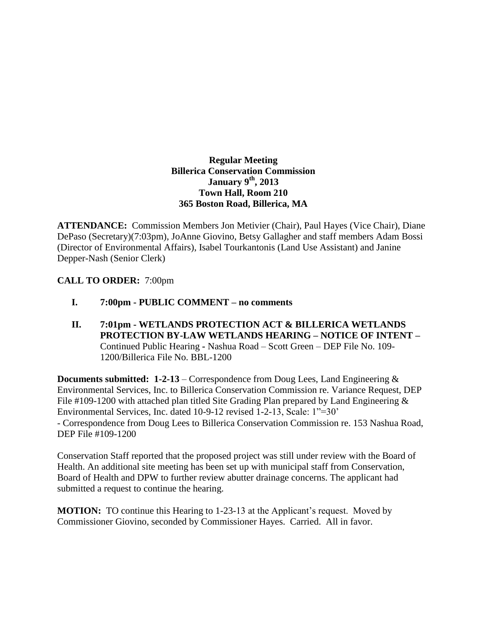## **Regular Meeting Billerica Conservation Commission January 9th, 2013 Town Hall, Room 210 365 Boston Road, Billerica, MA**

**ATTENDANCE:** Commission Members Jon Metivier (Chair), Paul Hayes (Vice Chair), Diane DePaso (Secretary)(7:03pm), JoAnne Giovino, Betsy Gallagher and staff members Adam Bossi (Director of Environmental Affairs), Isabel Tourkantonis (Land Use Assistant) and Janine Depper-Nash (Senior Clerk)

## **CALL TO ORDER:** 7:00pm

- **I. 7:00pm - PUBLIC COMMENT – no comments**
- **II. 7:01pm - WETLANDS PROTECTION ACT & BILLERICA WETLANDS PROTECTION BY-LAW WETLANDS HEARING – NOTICE OF INTENT –** Continued Public Hearing **-** Nashua Road – Scott Green – DEP File No. 109- 1200/Billerica File No. BBL-1200

**Documents submitted: 1-2-13** – Correspondence from Doug Lees, Land Engineering & Environmental Services, Inc. to Billerica Conservation Commission re. Variance Request, DEP File #109-1200 with attached plan titled Site Grading Plan prepared by Land Engineering & Environmental Services, Inc. dated 10-9-12 revised 1-2-13, Scale: 1"=30' - Correspondence from Doug Lees to Billerica Conservation Commission re. 153 Nashua Road, DEP File #109-1200

Conservation Staff reported that the proposed project was still under review with the Board of Health. An additional site meeting has been set up with municipal staff from Conservation, Board of Health and DPW to further review abutter drainage concerns. The applicant had submitted a request to continue the hearing.

**MOTION:** TO continue this Hearing to 1-23-13 at the Applicant's request. Moved by Commissioner Giovino, seconded by Commissioner Hayes. Carried. All in favor.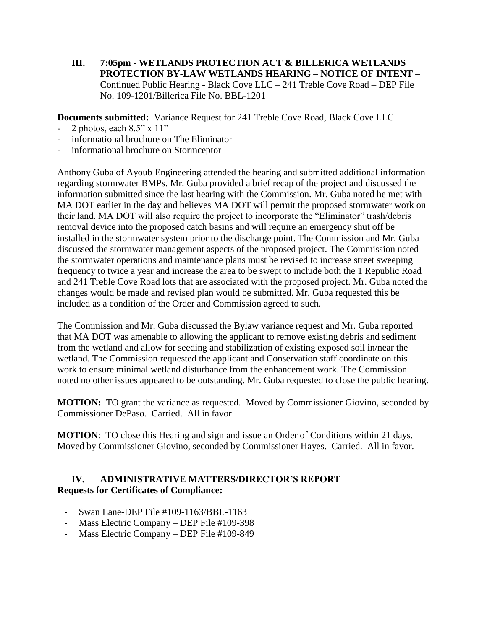**III. 7:05pm - WETLANDS PROTECTION ACT & BILLERICA WETLANDS PROTECTION BY-LAW WETLANDS HEARING – NOTICE OF INTENT –** Continued Public Hearing **-** Black Cove LLC – 241 Treble Cove Road – DEP File No. 109-1201/Billerica File No. BBL-1201

**Documents submitted:** Variance Request for 241 Treble Cove Road, Black Cove LLC

- 2 photos, each 8.5" x 11"
- informational brochure on The Eliminator
- informational brochure on Stormceptor

Anthony Guba of Ayoub Engineering attended the hearing and submitted additional information regarding stormwater BMPs. Mr. Guba provided a brief recap of the project and discussed the information submitted since the last hearing with the Commission. Mr. Guba noted he met with MA DOT earlier in the day and believes MA DOT will permit the proposed stormwater work on their land. MA DOT will also require the project to incorporate the "Eliminator" trash/debris removal device into the proposed catch basins and will require an emergency shut off be installed in the stormwater system prior to the discharge point. The Commission and Mr. Guba discussed the stormwater management aspects of the proposed project. The Commission noted the stormwater operations and maintenance plans must be revised to increase street sweeping frequency to twice a year and increase the area to be swept to include both the 1 Republic Road and 241 Treble Cove Road lots that are associated with the proposed project. Mr. Guba noted the changes would be made and revised plan would be submitted. Mr. Guba requested this be included as a condition of the Order and Commission agreed to such.

The Commission and Mr. Guba discussed the Bylaw variance request and Mr. Guba reported that MA DOT was amenable to allowing the applicant to remove existing debris and sediment from the wetland and allow for seeding and stabilization of existing exposed soil in/near the wetland. The Commission requested the applicant and Conservation staff coordinate on this work to ensure minimal wetland disturbance from the enhancement work. The Commission noted no other issues appeared to be outstanding. Mr. Guba requested to close the public hearing.

**MOTION:** TO grant the variance as requested. Moved by Commissioner Giovino, seconded by Commissioner DePaso. Carried. All in favor.

**MOTION:** TO close this Hearing and sign and issue an Order of Conditions within 21 days. Moved by Commissioner Giovino, seconded by Commissioner Hayes. Carried. All in favor.

## **IV. ADMINISTRATIVE MATTERS/DIRECTOR'S REPORT Requests for Certificates of Compliance:**

- Swan Lane-DEP File #109-1163/BBL-1163
- Mass Electric Company DEP File #109-398
- Mass Electric Company DEP File #109-849